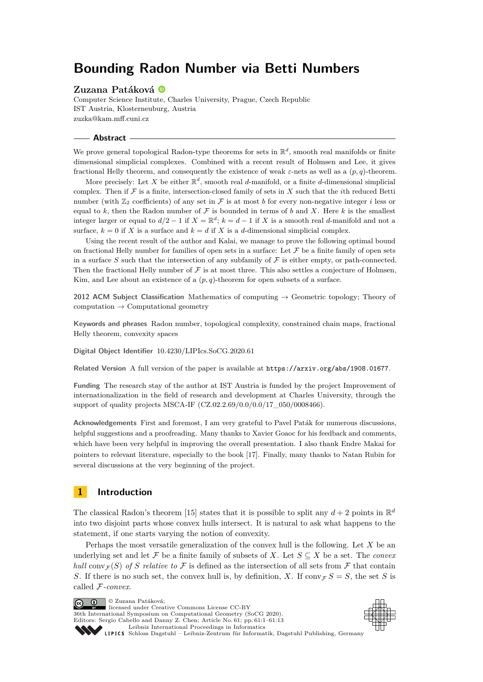# **Bounding Radon Number via Betti Numbers**

### **Zuzana Patáková**

Computer Science Institute, Charles University, Prague, Czech Republic IST Austria, Klosterneuburg, Austria [zuzka@kam.mff.cuni.cz](mailto:zuzka@kam.mff.cuni.cz)

### **Abstract**

We prove general topological Radon-type theorems for sets in  $\mathbb{R}^d$ , smooth real manifolds or finite dimensional simplicial complexes. Combined with a recent result of Holmsen and Lee, it gives fractional Helly theorem, and consequently the existence of weak *ε*-nets as well as a (*p, q*)-theorem.

More precisely: Let X be either  $\mathbb{R}^d$ , smooth real *d*-manifold, or a finite *d*-dimensional simplicial complex. Then if  $\mathcal F$  is a finite, intersection-closed family of sets in  $X$  such that the *i*th reduced Betti number (with  $\mathbb{Z}_2$  coefficients) of any set in F is at most *b* for every non-negative integer *i* less or equal to k, then the Radon number of  $\mathcal F$  is bounded in terms of b and X. Here k is the smallest integer larger or equal to  $d/2 - 1$  if  $X = \mathbb{R}^d$ ;  $k = d - 1$  if *X* is a smooth real *d*-manifold and not a surface,  $k = 0$  if *X* is a surface and  $k = d$  if *X* is a *d*-dimensional simplicial complex.

Using the recent result of the author and Kalai, we manage to prove the following optimal bound on fractional Helly number for families of open sets in a surface: Let  ${\mathcal F}$  be a finite family of open sets in a surface  $S$  such that the intersection of any subfamily of  $\mathcal F$  is either empty, or path-connected. Then the fractional Helly number of  $\mathcal F$  is at most three. This also settles a conjecture of Holmsen, Kim, and Lee about an existence of a  $(p, q)$ -theorem for open subsets of a surface.

**2012 ACM Subject Classification** Mathematics of computing → Geometric topology; Theory of computation  $\rightarrow$  Computational geometry

**Keywords and phrases** Radon number, topological complexity, constrained chain maps, fractional Helly theorem, convexity spaces

**Digital Object Identifier** [10.4230/LIPIcs.SoCG.2020.61](https://doi.org/10.4230/LIPIcs.SoCG.2020.61)

**Related Version** A full version of the paper is available at <https://arxiv.org/abs/1908.01677>.

**Funding** The research stay of the author at IST Austria is funded by the project Improvement of internationalization in the field of research and development at Charles University, through the support of quality projects MSCA-IF (CZ.02.2.69/0.0/0.0/17\_050/0008466).

**Acknowledgements** First and foremost, I am very grateful to Pavel Paták for numerous discussions, helpful suggestions and a proofreading. Many thanks to Xavier Goaoc for his feedback and comments, which have been very helpful in improving the overall presentation. I also thank Endre Makai for pointers to relevant literature, especially to the book [\[17\]](#page-12-0). Finally, many thanks to Natan Rubin for several discussions at the very beginning of the project.

# **1 Introduction**

The classical Radon's theorem [\[15\]](#page-12-1) states that it is possible to split any  $d+2$  points in  $\mathbb{R}^d$ into two disjoint parts whose convex hulls intersect. It is natural to ask what happens to the statement, if one starts varying the notion of convexity.

Perhaps the most versatile generalization of the convex hull is the following. Let *X* be an underlying set and let  $\mathcal F$  be a finite family of subsets of *X*. Let  $S \subseteq X$  be a set. The *convex hull* conv $\tau(S)$  *of S relative to* F is defined as the intersection of all sets from F that contain *S*. If there is no such set, the convex hull is, by definition, *X*. If conv $\mathcal{F} S = S$ , the set *S* is called F*-convex*.

© Zuzana Patáková;  $\boxed{6}$  0 licensed under Creative Commons License CC-BY 36th International Symposium on Computational Geometry (SoCG 2020). Editors: Sergio Cabello and Danny Z. Chen; Article No. 61; pp. 61:1–61[:13](#page-12-2) [Leibniz International Proceedings in Informatics](https://www.dagstuhl.de/lipics/) SCHLOSS Dagstuhl – Leibniz-Zentrum für Informatik, Dagstuhl Publishing, Germany

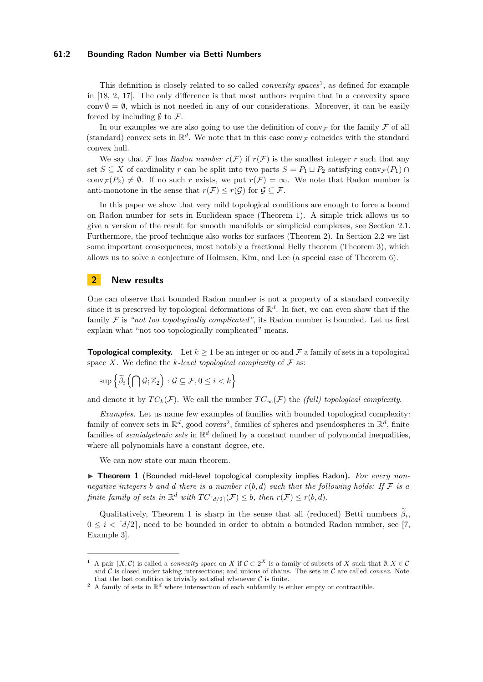### **61:2 Bounding Radon Number via Betti Numbers**

This definition is closely related to so called *convexity spaces*<sup>[1](#page-1-0)</sup>, as defined for example in [\[18,](#page-12-3) [2,](#page-11-0) [17\]](#page-12-0). The only difference is that most authors require that in a convexity space conv  $\emptyset = \emptyset$ , which is not needed in any of our considerations. Moreover, it can be easily forced by including  $\emptyset$  to  $\mathcal{F}.$ 

In our examples we are also going to use the definition of conv $\mathcal F$  for the family  $\mathcal F$  of all (standard) convex sets in  $\mathbb{R}^d$ . We note that in this case conv<sub>F</sub> coincides with the standard convex hull.

We say that F has *Radon number*  $r(F)$  if  $r(F)$  is the smallest integer r such that any set *S* ⊆ *X* of cardinality *r* can be split into two parts *S* =  $P_1 \sqcup P_2$  satisfying conv $\mathcal{F}(P_1) \cap$ conv $\tau(P_2) \neq \emptyset$ . If no such *r* exists, we put  $r(\mathcal{F}) = \infty$ . We note that Radon number is anti-monotone in the sense that  $r(\mathcal{F}) \leq r(\mathcal{G})$  for  $\mathcal{G} \subseteq \mathcal{F}$ .

In this paper we show that very mild topological conditions are enough to force a bound on Radon number for sets in Euclidean space (Theorem [1\)](#page-1-1). A simple trick allows us to give a version of the result for smooth manifolds or simplicial complexes, see Section [2.1.](#page-2-0) Furthermore, the proof technique also works for surfaces (Theorem [2\)](#page-2-1). In Section [2.2](#page-2-2) we list some important consequences, most notably a fractional Helly theorem (Theorem [3\)](#page-2-3), which allows us to solve a conjecture of Holmsen, Kim, and Lee (a special case of Theorem [6\)](#page-3-0).

# **2 New results**

One can observe that bounded Radon number is not a property of a standard convexity since it is preserved by topological deformations of  $\mathbb{R}^d$ . In fact, we can even show that if the family F is *"not too topologically complicated"*, its Radon number is bounded. Let us first explain what "not too topologically complicated" means.

**Topological complexity.** Let  $k > 1$  be an integer or  $\infty$  and  $\mathcal F$  a family of sets in a topological space *X*. We define the *k*-level topological complexity of  $\mathcal F$  as:

$$
\sup\left\{\widetilde{\beta}_i\left(\bigcap\mathcal{G};\mathbb{Z}_2\right):\mathcal{G}\subseteq\mathcal{F},0\leq i
$$

and denote it by  $TC_k(\mathcal{F})$ . We call the number  $TC_\infty(\mathcal{F})$  the *(full) topological complexity*.

*Examples.* Let us name few examples of families with bounded topological complexity: family of convex sets in  $\mathbb{R}^d$ , good covers<sup>[2](#page-1-2)</sup>, families of spheres and pseudospheres in  $\mathbb{R}^d$ , finite families of *semialgebraic sets* in  $\mathbb{R}^d$  defined by a constant number of polynomial inequalities, where all polynomials have a constant degree, etc.

We can now state our main theorem.

<span id="page-1-1"></span>▶ Theorem 1 (Bounded mid-level topological complexity implies Radon). For every non*negative integers b and d there is a number*  $r(b,d)$  *such that the following holds: If*  $F$  *is a finite family of sets in*  $\mathbb{R}^d$  *with*  $TC_{\lceil d/2 \rceil}(\mathcal{F}) \leq b$ *, then*  $r(\mathcal{F}) \leq r(b,d)$ *.* 

Qualitatively, Theorem [1](#page-1-1) is sharp in the sense that all (reduced) Betti numbers  $\beta_i$ ,  $0 \leq i \leq d/2$ , need to be bounded in order to obtain a bounded Radon number, see [\[7,](#page-11-1)] Example 3].

<span id="page-1-0"></span><sup>&</sup>lt;sup>1</sup> A pair  $(X, \mathcal{C})$  is called a *convexity space* on *X* if  $\mathcal{C} \subset 2^X$  is a family of subsets of *X* such that  $\emptyset, X \in \mathcal{C}$ and C is closed under taking intersections; and unions of chains. The sets in C are called *convex*. Note that the last condition is trivially satisfied whenever  $C$  is finite.

<span id="page-1-2"></span><sup>&</sup>lt;sup>2</sup> A family of sets in  $\mathbb{R}^d$  where intersection of each subfamily is either empty or contractible.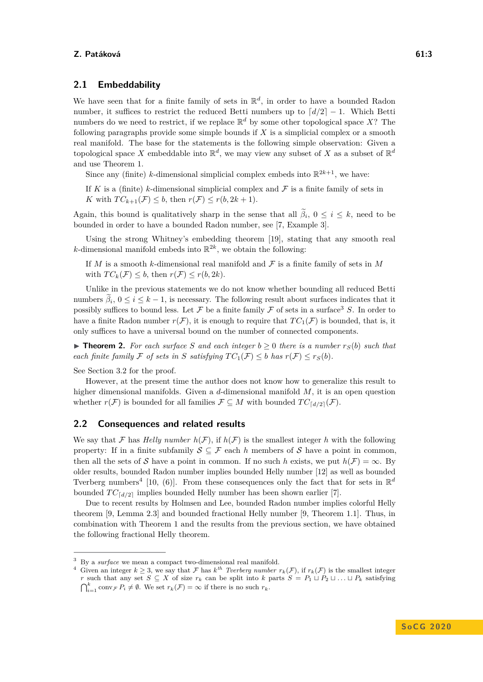### <span id="page-2-0"></span>**2.1 Embeddability**

We have seen that for a finite family of sets in  $\mathbb{R}^d$ , in order to have a bounded Radon number, it suffices to restrict the reduced Betti numbers up to  $\lceil d/2 \rceil - 1$ . Which Betti numbers do we need to restrict, if we replace  $\mathbb{R}^d$  by some other topological space X? The following paragraphs provide some simple bounds if *X* is a simplicial complex or a smooth real manifold. The base for the statements is the following simple observation: Given a topological space X embeddable into  $\mathbb{R}^d$ , we may view any subset of X as a subset of  $\mathbb{R}^d$ and use Theorem [1.](#page-1-1)

Since any (finite) *k*-dimensional simplicial complex embeds into  $\mathbb{R}^{2k+1}$ , we have:

If *K* is a (finite) *k*-dimensional simplicial complex and  $\mathcal F$  is a finite family of sets in *K* with  $TC_{k+1}(\mathcal{F}) \leq b$ , then  $r(\mathcal{F}) \leq r(b, 2k+1)$ .

Again, this bound is qualitatively sharp in the sense that all  $\beta_i$ ,  $0 \leq i \leq k$ , need to be bounded in order to have a bounded Radon number, see [\[7,](#page-11-1) Example 3].

Using the strong Whitney's embedding theorem [\[19\]](#page-12-4), stating that any smooth real *k*-dimensional manifold embeds into  $\mathbb{R}^{2k}$ , we obtain the following:

If *M* is a smooth *k*-dimensional real manifold and  $\mathcal F$  is a finite family of sets in *M* with  $TC_k(\mathcal{F}) \leq b$ , then  $r(\mathcal{F}) \leq r(b, 2k)$ .

Unlike in the previous statements we do not know whether bounding all reduced Betti numbers  $\beta_i$ ,  $0 \le i \le k-1$ , is necessary. The following result about surfaces indicates that it possibly suffices to bound less. Let  $\mathcal F$  be a finite family  $\mathcal F$  of sets in a surface<sup>[3](#page-2-4)</sup> *S*. In order to have a finite Radon number  $r(\mathcal{F})$ , it is enough to require that  $TC_1(\mathcal{F})$  is bounded, that is, it only suffices to have a universal bound on the number of connected components.

<span id="page-2-1"></span>▶ **Theorem 2.** For each surface S and each integer  $b ≥ 0$  there is a number  $r_S(b)$  such that *each finite family* F *of sets in S satisfying*  $TC_1(F) \leq b$  *has*  $r(F) \leq r_S(b)$ .

See Section [3.2](#page-5-0) for the proof.

However, at the present time the author does not know how to generalize this result to higher dimensional manifolds. Given a *d*-dimensional manifold *M*, it is an open question whether  $r(\mathcal{F})$  is bounded for all families  $\mathcal{F} \subseteq M$  with bounded  $TC_{\lceil d/2 \rceil}(\mathcal{F})$ .

## <span id="page-2-2"></span>**2.2 Consequences and related results**

We say that F has *Helly number*  $h(\mathcal{F})$ , if  $h(\mathcal{F})$  is the smallest integer h with the following property: If in a finite subfamily  $S \subseteq \mathcal{F}$  each h members of S have a point in common, then all the sets of S have a point in common. If no such *h* exists, we put  $h(\mathcal{F}) = \infty$ . By older results, bounded Radon number implies bounded Helly number [\[12\]](#page-12-5) as well as bounded Tverberg numbers<sup>[4](#page-2-5)</sup> [\[10,](#page-11-2) (6)]. From these consequences only the fact that for sets in  $\mathbb{R}^d$ bounded  $TC_{\lceil d/2\rceil}$  implies bounded Helly number has been shown earlier [\[7\]](#page-11-1).

Due to recent results by Holmsen and Lee, bounded Radon number implies colorful Helly theorem [\[9,](#page-11-3) Lemma 2.3] and bounded fractional Helly number [\[9,](#page-11-3) Theorem 1.1]. Thus, in combination with Theorem [1](#page-1-1) and the results from the previous section, we have obtained the following fractional Helly theorem.

<span id="page-2-4"></span><span id="page-2-3"></span><sup>3</sup> By a *surface* we mean a compact two-dimensional real manifold.

<span id="page-2-5"></span><sup>&</sup>lt;sup>4</sup> Given an integer  $k \geq 3$ , we say that F has  $k^{th}$  Tverberg number  $r_k(\mathcal{F})$ , if  $r_k(\mathcal{F})$  is the smallest integer *r* such that any set  $S \subseteq X$  of size  $r_k$  can be split into *k* parts  $S = P_1 \cup P_2 \cup \ldots \cup P_k$  satisfying  $\bigcap_{i=1}^k \operatorname{conv}_{\mathcal{F}} P_i \neq \emptyset$ . We set  $r_k(\mathcal{F}) = \infty$  if there is no such  $r_k$ .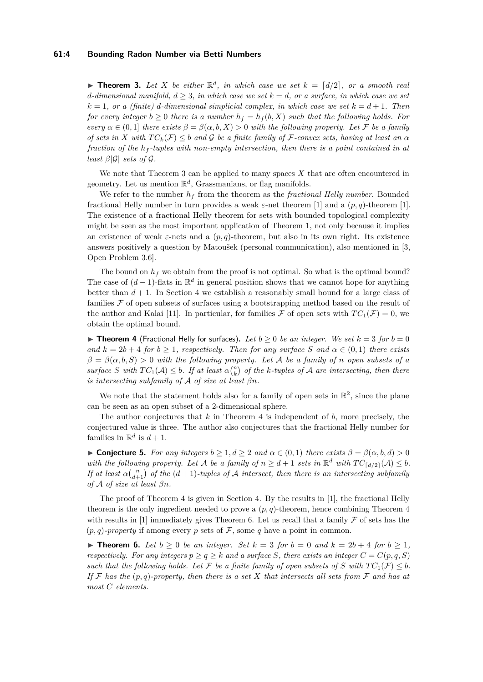#### **61:4 Bounding Radon Number via Betti Numbers**

**Find 1.** *Let X be either*  $\mathbb{R}^d$ *, in which case we set*  $k = \lfloor d/2 \rfloor$ *, or a smooth real d*<sup>*-dimensional manifold,*  $d \geq 3$ *, in which case we set*  $k = d$ *, or a surface, in which case we set*</sup>  $k = 1$ , or a (finite) *d*-dimensional simplicial complex, in which case we set  $k = d + 1$ . Then *for every integer*  $b \geq 0$  *there is a number*  $h_f = h_f(b, X)$  *such that the following holds. For every*  $\alpha \in (0,1]$  *there exists*  $\beta = \beta(\alpha, b, X) > 0$  *with the following property. Let* F *be a family of sets in X* with  $TC_k(\mathcal{F}) \leq b$  *and* G *be a finite family of* F-convex sets, having at least an  $\alpha$ *fraction of the h<sup>f</sup> -tuples with non-empty intersection, then there is a point contained in at least*  $\beta|\mathcal{G}|$  *sets of*  $\mathcal{G}$ *.* 

We note that Theorem [3](#page-2-3) can be applied to many spaces *X* that are often encountered in geometry. Let us mention  $\mathbb{R}^d$ , Grassmanians, or flag manifolds.

We refer to the number  $h_f$  from the theorem as the *fractional Helly number*. Bounded fractional Helly number in turn provides a weak  $\varepsilon$ -net theorem [\[1\]](#page-11-4) and a  $(p, q)$ -theorem [1]. The existence of a fractional Helly theorem for sets with bounded topological complexity might be seen as the most important application of Theorem [1,](#page-1-1) not only because it implies an existence of weak *ε*-nets and a (*p, q*)-theorem, but also in its own right. Its existence answers positively a question by Matoušek (personal communication), also mentioned in [\[3,](#page-11-5) Open Problem 3.6].

The bound on  $h_f$  we obtain from the proof is not optimal. So what is the optimal bound? The case of  $(d-1)$ -flats in  $\mathbb{R}^d$  in general position shows that we cannot hope for anything better than  $d + 1$ . In Section [4](#page-10-0) we establish a reasonably small bound for a large class of families  $\mathcal F$  of open subsets of surfaces using a bootstrapping method based on the result of the author and Kalai [\[11\]](#page-12-6). In particular, for families  $\mathcal F$  of open sets with  $TC_1(\mathcal F)=0$ , we obtain the optimal bound.

<span id="page-3-1"></span>▶ **Theorem 4** (Fractional Helly for surfaces). Let  $b ≥ 0$  be an integer. We set  $k = 3$  for  $b = 0$ *and*  $k = 2b + 4$  *for*  $b \ge 1$ *, respectively. Then for any surface S* and  $\alpha \in (0,1)$  *there exists*  $\beta = \beta(\alpha, b, S) > 0$  *with the following property. Let* A *be a family of n open subsets of a surface S* with  $TC_1(\mathcal{A}) \leq b$ . If at least  $\alpha \binom{n}{k}$  *of the k-tuples of*  $\mathcal{A}$  *are intersecting, then there is intersecting subfamily of* A *of size at least βn.*

We note that the statement holds also for a family of open sets in  $\mathbb{R}^2$ , since the plane can be seen as an open subset of a 2-dimensional sphere.

The author conjectures that *k* in Theorem [4](#page-3-1) is independent of *b*, more precisely, the conjectured value is three. The author also conjectures that the fractional Helly number for families in  $\mathbb{R}^d$  is  $d+1$ .

 $\blacktriangleright$  **Conjecture 5.** *For any integers b* ≥ 1*, d* ≥ 2 *and*  $\alpha \in (0, 1)$  *there exists*  $\beta = \beta(\alpha, b, d) > 0$ with the following property. Let A be a family of  $n \geq d+1$  sets in  $\mathbb{R}^d$  with  $TC_{\lceil d/2 \rceil}(\mathcal{A}) \leq b$ . *If at least*  $\alpha {n \choose d+1}$  *of the*  $(d+1)$ *-tuples of* A *intersect, then there is an intersecting subfamily of* A *of size at least βn.*

The proof of Theorem [4](#page-3-1) is given in Section [4.](#page-10-0) By the results in [\[1\]](#page-11-4), the fractional Helly theorem is the only ingredient needed to prove a (*p, q*)-theorem, hence combining Theorem [4](#page-3-1) with results in [\[1\]](#page-11-4) immediately gives Theorem [6.](#page-3-0) Let us recall that a family  $\mathcal F$  of sets has the  $(p, q)$ -property if among every p sets of F, some q have a point in common.

<span id="page-3-0"></span>▶ **Theorem 6.** *Let*  $b \ge 0$  *be an integer. Set*  $k = 3$  *for*  $b = 0$  *and*  $k = 2b + 4$  *for*  $b \ge 1$ *, respectively. For any integers*  $p \ge q \ge k$  *and a surface S, there exists an integer*  $C = C(p, q, S)$ *such that the following holds. Let*  $\mathcal{F}$  *be a finite family of open subsets of*  $S$  *with*  $TC_1(\mathcal{F}) \leq b$ *. If* F *has the* (*p, q*)*-property, then there is a set X that intersects all sets from* F *and has at most C elements.*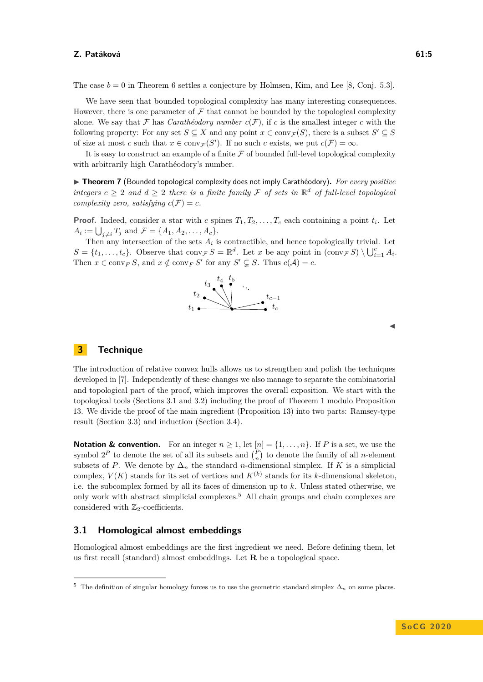The case  $b = 0$  in Theorem [6](#page-3-0) settles a conjecture by Holmsen, Kim, and Lee [\[8,](#page-11-6) Conj. 5.3].

We have seen that bounded topological complexity has many interesting consequences. However, there is one parameter of  $\mathcal F$  that cannot be bounded by the topological complexity alone. We say that  $\mathcal F$  has *Carathéodory number*  $c(\mathcal F)$ , if *c* is the smallest integer *c* with the following property: For any set  $S \subseteq X$  and any point  $x \in \text{conv}_{\mathcal{F}}(S)$ , there is a subset  $S' \subseteq S$ of size at most *c* such that  $x \in \text{conv}_{\mathcal{F}}(S')$ . If no such *c* exists, we put  $c(\mathcal{F}) = \infty$ .

It is easy to construct an example of a finite  $F$  of bounded full-level topological complexity with arbitrarily high Carathéodory's number.

▶ Theorem 7 (Bounded topological complexity does not imply Carathéodory). For every positive *integers*  $c \geq 2$  *and*  $d \geq 2$  *there is a finite family* F *of sets in*  $\mathbb{R}^d$  *of full-level topological complexity zero, satisfying*  $c(\mathcal{F}) = c$ *.* 

**Proof.** Indeed, consider a star with *c* spines  $T_1, T_2, \ldots, T_c$  each containing a point  $t_i$ . Let  $A_i := \bigcup_{j \neq i} T_j$  and  $\mathcal{F} = \{A_1, A_2, \dots, A_c\}.$ 

Then any intersection of the sets  $A_i$  is contractible, and hence topologically trivial. Let  $S = \{t_1, \ldots, t_c\}$ . Observe that  $\text{conv}_{\mathcal{F}} S = \mathbb{R}^d$ . Let *x* be any point in  $(\text{conv}_{\mathcal{F}} S) \setminus \bigcup_{i=1}^c A_i$ . Then  $x \in \text{conv}_F S$ , and  $x \notin \text{conv}_F S'$  for any  $S' \subsetneq S$ . Thus  $c(A) = c$ .



# **3 Technique**

The introduction of relative convex hulls allows us to strengthen and polish the techniques developed in [\[7\]](#page-11-1). Independently of these changes we also manage to separate the combinatorial and topological part of the proof, which improves the overall exposition. We start with the topological tools (Sections [3.1](#page-4-0) and [3.2\)](#page-5-0) including the proof of Theorem [1](#page-1-1) modulo Proposition [13.](#page-6-0) We divide the proof of the main ingredient (Proposition [13\)](#page-6-0) into two parts: Ramsey-type result (Section [3.3\)](#page-7-0) and induction (Section [3.4\)](#page-8-0).

**Notation & convention.** For an integer  $n \geq 1$ , let  $[n] = \{1, \ldots, n\}$ . If P is a set, we use the symbol  $2^P$  to denote the set of all its subsets and  $\binom{P}{n}$  to denote the family of all *n*-element subsets of *P*. We denote by  $\Delta_n$  the standard *n*-dimensional simplex. If *K* is a simplicial complex,  $V(K)$  stands for its set of vertices and  $K^{(k)}$  stands for its *k*-dimensional skeleton, i.e. the subcomplex formed by all its faces of dimension up to *k*. Unless stated otherwise, we only work with abstract simplicial complexes.[5](#page-4-1) All chain groups and chain complexes are considered with  $\mathbb{Z}_2$ -coefficients.

### <span id="page-4-0"></span>**3.1 Homological almost embeddings**

Homological almost embeddings are the first ingredient we need. Before defining them, let us first recall (standard) almost embeddings. Let **R** be a topological space.

<span id="page-4-1"></span><sup>&</sup>lt;sup>5</sup> The definition of singular homology forces us to use the geometric standard simplex  $\Delta_n$  on some places.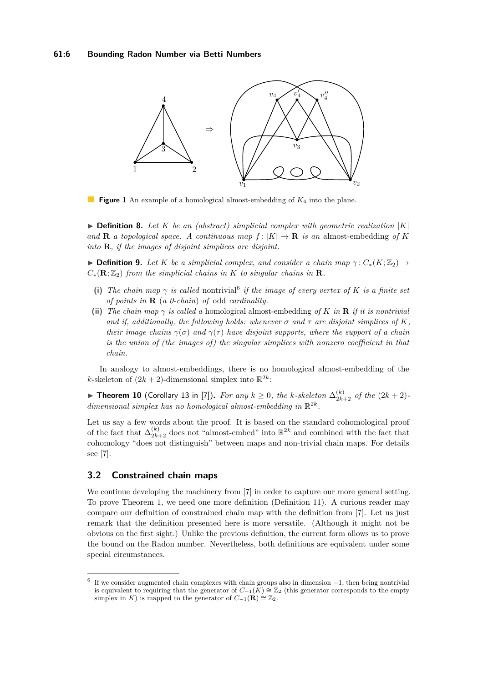

 $\mathcal{L}_{\mathcal{A}}$ **Figure 1** An example of a homological almost-embedding of *K*<sup>4</sup> into the plane.

 $\triangleright$  **Definition 8.** Let *K* be an (abstract) simplicial complex with geometric realization |*K*| and **R** *a topological space. A continuous map*  $f: |K| \to \mathbf{R}$  *is an* almost-embedding of K *into* **R***, if the images of disjoint simplices are disjoint.*

**▶ Definition 9.** Let *K* be a simplicial complex, and consider a chain map  $\gamma$ :  $C_*(K;\mathbb{Z}_2)$  →  $C_*(\mathbf{R}; \mathbb{Z}_2)$  *from the simplicial chains in K to singular chains in* **R***.* 

- (i) The chain map  $\gamma$  is called nontrivial<sup>[6](#page-5-1)</sup> if the image of every vertex of K is a finite set *of points in* **R** (*a 0-chain*) *of* odd *cardinality.*
- **(ii)** *The chain map γ is called a* homological almost-embedding *of K in* **R** *if it is nontrivial and if, additionally, the following holds: whenever*  $\sigma$  *and*  $\tau$  *are disjoint simplices of*  $K$ *, their image chains*  $\gamma(\sigma)$  *and*  $\gamma(\tau)$  *have disjoint supports, where the support of a chain is the union of (the images of) the singular simplices with nonzero coefficient in that chain.*

In analogy to almost-embeddings, there is no homological almost-embedding of the *k*-skeleton of  $(2k + 2)$ -dimensional simplex into  $\mathbb{R}^{2k}$ :

<span id="page-5-2"></span>▶ Theorem 10 (Corollary 13 in [\[7\]](#page-11-1)). For any  $k ≥ 0$ , the k-skeleton  $\Delta_{2k+2}^{(k)}$  of the  $(2k+2)$ dimensional simplex has no homological almost-embedding in  $\mathbb{R}^{2k}$ .

Let us say a few words about the proof. It is based on the standard cohomological proof of the fact that  $\Delta_{2k+2}^{(k)}$  does not "almost-embed" into  $\mathbb{R}^{2k}$  and combined with the fact that cohomology "does not distinguish" between maps and non-trivial chain maps. For details see [\[7\]](#page-11-1).

# <span id="page-5-0"></span>**3.2 Constrained chain maps**

We continue developing the machinery from [\[7\]](#page-11-1) in order to capture our more general setting. To prove Theorem [1,](#page-1-1) we need one more definition (Definition [11\)](#page-6-1). A curious reader may compare our definition of constrained chain map with the definition from [\[7\]](#page-11-1). Let us just remark that the definition presented here is more versatile. (Although it might not be obvious on the first sight.) Unlike the previous definition, the current form allows us to prove the bound on the Radon number. Nevertheless, both definitions are equivalent under some special circumstances.

<span id="page-5-1"></span><sup>6</sup> If we consider augmented chain complexes with chain groups also in dimension −1, then being nontrivial is equivalent to requiring that the generator of  $C_{-1}(K) \cong \mathbb{Z}_2$  (this generator corresponds to the empty simplex in *K*) is mapped to the generator of  $C_{-1}(\mathbf{R}) \cong \mathbb{Z}_2$ .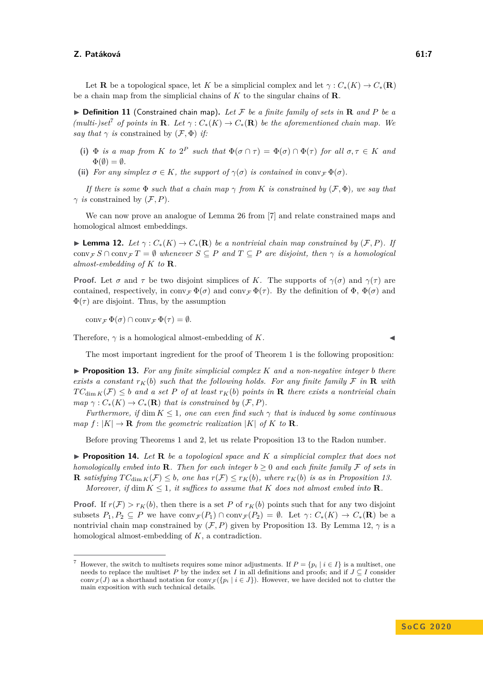Let **R** be a topological space, let *K* be a simplicial complex and let  $\gamma: C_*(K) \to C_*(\mathbf{R})$ be a chain map from the simplicial chains of *K* to the singular chains of **R**.

<span id="page-6-1"></span> $\triangleright$  **Definition 11** (Constrained chain map). Let F be a finite family of sets in **R** and P be a *(multi-)set*<sup>[7](#page-6-2)</sup> *of points in* **R***. Let*  $\gamma$  :  $C_*(K) \to C_*(\mathbf{R})$  *be the aforementioned chain map. We say that*  $\gamma$  *is* constrained by  $(\mathcal{F}, \Phi)$  *if:* 

- **(i)**  $\Phi$  *is a map from K to*  $2^P$  *such that*  $\Phi(\sigma \cap \tau) = \Phi(\sigma) \cap \Phi(\tau)$  *for all*  $\sigma, \tau \in K$  *and*  $\Phi(\emptyset) = \emptyset$ .
- (ii) *For any simplex*  $\sigma \in K$ *, the support of*  $\gamma(\sigma)$  *is contained in* conv $\tau \Phi(\sigma)$ *.*

*If there is some*  $\Phi$  *such that a chain map*  $\gamma$  *from K is constrained by*  $(\mathcal{F}, \Phi)$ *, we say that*  $\gamma$  *is* constrained by  $(\mathcal{F}, P)$ *.* 

We can now prove an analogue of Lemma 26 from [\[7\]](#page-11-1) and relate constrained maps and homological almost embeddings.

<span id="page-6-3"></span>**► Lemma 12.** Let  $\gamma$  :  $C_*(K)$  →  $C_*(R)$  be a nontrivial chain map constrained by  $(F, P)$ . If  $\text{conv}_{\mathcal{F}} S \cap \text{conv}_{\mathcal{F}} T = \emptyset$  whenever  $S \subseteq P$  and  $T \subseteq P$  are disjoint, then  $\gamma$  is a homological *almost-embedding of K to* **R***.*

**Proof.** Let  $\sigma$  and  $\tau$  be two disjoint simplices of *K*. The supports of  $\gamma(\sigma)$  and  $\gamma(\tau)$  are contained, respectively, in  $\text{conv}_{\mathcal{F}} \Phi(\sigma)$  and  $\text{conv}_{\mathcal{F}} \Phi(\tau)$ . By the definition of  $\Phi$ ,  $\Phi(\sigma)$  and  $\Phi(\tau)$  are disjoint. Thus, by the assumption

 $\operatorname{conv}_{\mathcal{F}} \Phi(\sigma) \cap \operatorname{conv}_{\mathcal{F}} \Phi(\tau) = \emptyset.$ 

Therefore,  $\gamma$  is a homological almost-embedding of *K*.

The most important ingredient for the proof of Theorem [1](#page-1-1) is the following proposition:

<span id="page-6-0"></span> $\triangleright$  **Proposition 13.** For any finite simplicial complex K and a non-negative integer *b* there *exists a constant*  $r_K(b)$  *such that the following holds. For any finite family*  $\mathcal F$  *in*  $\mathbf R$  *with*  $TC_{\dim K}(\mathcal{F}) \leq b$  *and a set P of at least*  $r_K(b)$  *points in* **R** *there exists a nontrivial chain*  $map \gamma : C_*(K) \to C_*(\mathbf{R})$  *that is constrained by*  $(\mathcal{F}, P)$ *.* 

*Furthermore, if* dim  $K \leq 1$ , one can even find such  $\gamma$  that is induced by some continuous *map*  $f: |K| \to \mathbf{R}$  *from the geometric realization*  $|K|$  *of*  $K$  *to*  $\mathbf{R}$ *.* 

Before proving Theorems [1](#page-1-1) and [2,](#page-2-1) let us relate Proposition [13](#page-6-0) to the Radon number.

<span id="page-6-4"></span>**Proposition 14.** Let **R** be a topological space and  $K$  a simplicial complex that does not *homologically embed into* **R***. Then for each integer*  $b > 0$  *and each finite family* F *of sets in* **R** *satisfying*  $TC_{\dim K}(\mathcal{F}) \leq b$ *, one has*  $r(\mathcal{F}) \leq r_K(b)$ *, where*  $r_K(b)$  *is as in Proposition [13.](#page-6-0) Moreover, if* dim  $K \leq 1$ *, it suffices to assume that*  $K$  *does not almost embed into*  $\mathbb{R}$ *.* 

**Proof.** If  $r(F) > r_K(b)$ , then there is a set P of  $r_K(b)$  points such that for any two disjoint subsets  $P_1, P_2 \subseteq P$  we have  $conv_{\mathcal{F}}(P_1) \cap conv_{\mathcal{F}}(P_2) = \emptyset$ . Let  $\gamma: C_*(K) \to C_*(\mathbf{R})$  be a nontrivial chain map constrained by  $(\mathcal{F}, P)$  given by Proposition [13.](#page-6-0) By Lemma [12,](#page-6-3)  $\gamma$  is a homological almost-embedding of *K*, a contradiction.

<span id="page-6-2"></span>However, the switch to multisets requires some minor adjustments. If  $P = \{p_i | i \in I\}$  is a multiset, one needs to replace the multiset *P* by the index set *I* in all definitions and proofs; and if  $J \subseteq I$  consider conv $\mathcal{F}(J)$  as a shorthand notation for conv $\mathcal{F}(\{p_i \mid i \in J\})$ . However, we have decided not to clutter the main exposition with such technical details.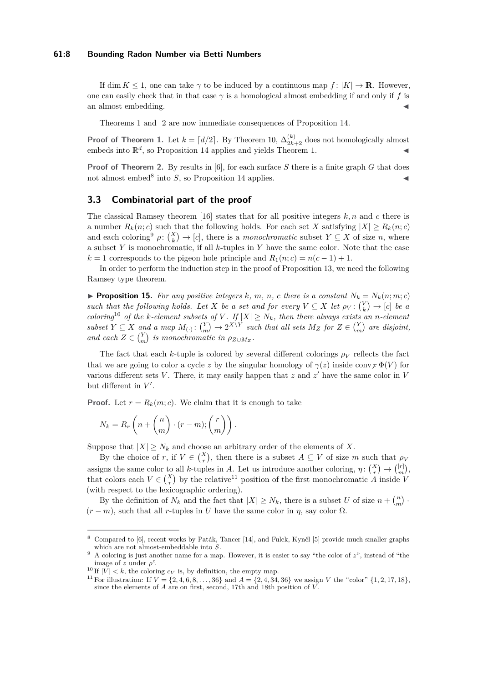### **61:8 Bounding Radon Number via Betti Numbers**

If dim  $K \leq 1$ , one can take  $\gamma$  to be induced by a continuous map  $f : |K| \to \mathbf{R}$ . However, one can easily check that in that case  $\gamma$  is a homological almost embedding if and only if f is an almost embedding.

Theorems [1](#page-1-1) and [2](#page-2-1) are now immediate consequences of Proposition [14.](#page-6-4)

**Proof of Theorem [1.](#page-1-1)** Let  $k = \lfloor d/2 \rfloor$ . By Theorem [10,](#page-5-2)  $\Delta_{2k+2}^{(k)}$  does not homologically almost embeds into  $\mathbb{R}^d$ , so Proposition [14](#page-6-4) applies and yields Theorem [1.](#page-1-1)

**Proof of Theorem [2.](#page-2-1)** By results in [\[6\]](#page-11-7), for each surface *S* there is a finite graph *G* that does not almost embed<sup>[8](#page-7-1)</sup> into  $S$ , so Proposition [14](#page-6-4) applies.

### <span id="page-7-0"></span>**3.3 Combinatorial part of the proof**

The classical Ramsey theorem [\[16\]](#page-12-7) states that for all positive integers  $k, n$  and  $c$  there is a number  $R_k(n;c)$  such that the following holds. For each set *X* satisfying  $|X| > R_k(n;c)$ and each coloring<sup>[9](#page-7-2)</sup>  $\rho: \binom{X}{k} \to [c]$ , there is a *monochromatic* subset  $Y \subseteq X$  of size *n*, where a subset *Y* is monochromatic, if all *k*-tuples in *Y* have the same color. Note that the case  $k = 1$  corresponds to the pigeon hole principle and  $R_1(n; c) = n(c - 1) + 1$ .

In order to perform the induction step in the proof of Proposition [13,](#page-6-0) we need the following Ramsey type theorem.

<span id="page-7-5"></span>**Proposition 15.** For any positive integers  $k$ ,  $m$ ,  $n$ ,  $c$  there is a constant  $N_k = N_k(n; m; c)$ *such that the following holds. Let X be a set and for every*  $V \subseteq X$  *let*  $\rho_V : \binom{V}{k} \to [c]$  *be a coloring*<sup>[10](#page-7-3)</sup> *of the k-element subsets of V*. If  $|X| \geq N_k$ , then there always exists an *n*-element  $subset$   $Y \subseteq X$  and a map  $M_{\left(\cdot\right)}$ :  $\binom{Y}{m} \rightarrow 2^{X \setminus Y}$  such that all sets  $M_Z$  for  $Z \in \binom{Y}{m}$  are disjoint, *and each*  $Z \in \binom{Y}{m}$  *is monochromatic in*  $\rho_{Z \cup M_Z}$ .

The fact that each *k*-tuple is colored by several different colorings  $\rho_V$  reflects the fact that we are going to color a cycle *z* by the singular homology of  $\gamma(z)$  inside conv $\mathcal{F} \Phi(V)$  for various different sets  $V$ . There, it may easily happen that  $z$  and  $z'$  have the same color in  $V$ but different in  $V'$ .

**Proof.** Let  $r = R_k(m; c)$ . We claim that it is enough to take

$$
N_k = R_r\left(n + \binom{n}{m} \cdot (r-m); \binom{r}{m}\right).
$$

Suppose that  $|X| \geq N_k$  and choose an arbitrary order of the elements of X.

By the choice of *r*, if  $V \in \binom{X}{r}$ , then there is a subset  $A \subseteq V$  of size *m* such that  $\rho_V$ assigns the same color to all *k*-tuples in *A*. Let us introduce another coloring,  $\eta: \binom{X}{r} \to \binom{[r]}{m}$ , that colors each  $V \in \binom{X}{r}$  by the relative<sup>[11](#page-7-4)</sup> position of the first monochromatic *A* inside *V* (with respect to the lexicographic ordering).

By the definition of  $N_k$  and the fact that  $|X| \ge N_k$ , there is a subset *U* of size  $n + \binom{n}{m}$ .  $(r - m)$ , such that all *r*-tuples in *U* have the same color in *η*, say color  $\Omega$ .

<span id="page-7-1"></span><sup>8</sup> Compared to [\[6\]](#page-11-7), recent works by Paták, Tancer [\[14\]](#page-12-8), and Fulek, Kynčl [\[5\]](#page-11-8) provide much smaller graphs which are not almost-embeddable into *S*.

<span id="page-7-2"></span><sup>9</sup> A coloring is just another name for a map. However, it is easier to say "the color of *z*", instead of "the image of *z* under  $\rho$ ".

<span id="page-7-3"></span><sup>&</sup>lt;sup>10</sup> If  $|V| < k$ , the coloring  $c_V$  is, by definition, the empty map.

<span id="page-7-4"></span><sup>&</sup>lt;sup>11</sup> For illustration: If  $V = \{2, 4, 6, 8, \ldots, 36\}$  and  $A = \{2, 4, 34, 36\}$  we assign *V* the "color"  $\{1, 2, 17, 18\}$ , since the elements of *A* are on first, second, 17th and 18th position of *V* .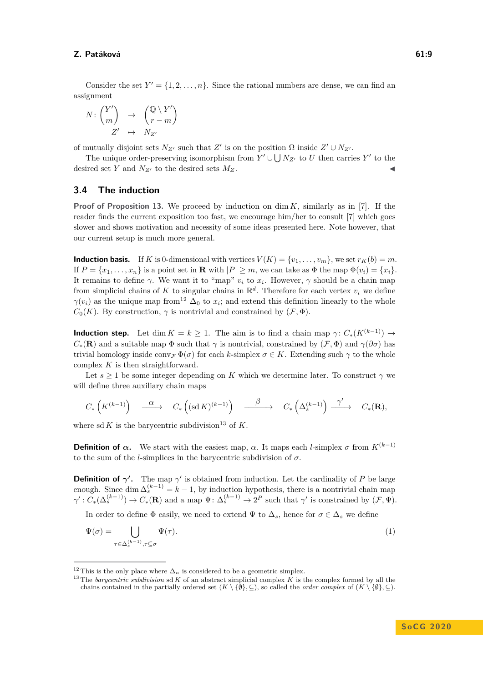Consider the set  $Y' = \{1, 2, ..., n\}$ . Since the rational numbers are dense, we can find an assignment

$$
N: \binom{Y'}{m} \rightarrow \binom{\mathbb{Q} \setminus Y'}{r-m}
$$

$$
Z' \rightarrow N_{Z'}
$$

of mutually disjoint sets  $N_{Z'}$  such that  $Z'$  is on the position  $\Omega$  inside  $Z' \cup N_{Z'}$ .

The unique order-preserving isomorphism from  $Y' \cup \bigcup N_{Z'}$  to *U* then carries  $Y'$  to the desired set *Y* and  $N_{Z'}$  to the desired sets  $M_Z$ .

### <span id="page-8-0"></span>**3.4 The induction**

**Proof of Proposition [13.](#page-6-0)** We proceed by induction on  $\dim K$ , similarly as in [\[7\]](#page-11-1). If the reader finds the current exposition too fast, we encourage him/her to consult [\[7\]](#page-11-1) which goes slower and shows motivation and necessity of some ideas presented here. Note however, that our current setup is much more general.

**Induction basis.** If *K* is 0-dimensional with vertices  $V(K) = \{v_1, \ldots, v_m\}$ , we set  $r_K(b) = m$ . If  $P = \{x_1, \ldots, x_n\}$  is a point set in **R** with  $|P| \geq m$ , we can take as  $\Phi$  the map  $\Phi(v_i) = \{x_i\}.$ It remains to define  $\gamma$ . We want it to "map"  $v_i$  to  $x_i$ . However,  $\gamma$  should be a chain map from simplicial chains of K to singular chains in  $\mathbb{R}^d$ . Therefore for each vertex  $v_i$  we define  $\gamma(v_i)$  as the unique map from<sup>[12](#page-8-1)</sup>  $\Delta_0$  to  $x_i$ ; and extend this definition linearly to the whole  $C_0(K)$ . By construction,  $\gamma$  is nontrivial and constrained by  $(\mathcal{F}, \Phi)$ .

**Induction step.** Let dim  $K = k \ge 1$ . The aim is to find a chain map  $\gamma$ :  $C_*(K^{(k-1)}) \to$  $C_*(\mathbf{R})$  and a suitable map  $\Phi$  such that  $\gamma$  is nontrivial, constrained by  $(\mathcal{F}, \Phi)$  and  $\gamma(\partial \sigma)$  has trivial homology inside conv $\mathcal{F} \Phi(\sigma)$  for each *k*-simplex  $\sigma \in K$ . Extending such  $\gamma$  to the whole complex *K* is then straightforward.

Let  $s \geq 1$  be some integer depending on *K* which we determine later. To construct  $\gamma$  we will define three auxiliary chain maps

$$
C_*\left(K^{(k-1)}\right) \quad \overset{\alpha}{\longrightarrow} \quad C_*\left( (\text{sd}\, K)^{(k-1)}\right) \quad \overset{\beta}{\longrightarrow} \quad C_*\left(\Delta_s^{(k-1)}\right) \overset{\gamma'}{\longrightarrow} \quad C_*({\mathbf R}),
$$

where sd  $K$  is the barycentric subdivision<sup>[13](#page-8-2)</sup> of  $K$ .

**Definition of** *α***.** We start with the easiest map, *α*. It maps each *l*-simplex *σ* from  $K^{(k-1)}$ to the sum of the *l*-simplices in the barycentric subdivision of  $\sigma$ .

**Definition of**  $\gamma'$ . The map  $\gamma'$  is obtained from induction. Let the cardinality of *P* be large enough. Since  $\dim \Delta_s^{(k-1)} = k-1$ , by induction hypothesis, there is a nontrivial chain map  $\gamma': C_*(\Delta_s^{(k-1)}) \to C_*(\mathbf{R})$  and a map  $\Psi: \Delta_s^{(k-1)} \to 2^P$  such that  $\gamma'$  is constrained by  $(\mathcal{F}, \Psi)$ .

In order to define  $\Phi$  easily, we need to extend  $\Psi$  to  $\Delta_s$ , hence for  $\sigma \in \Delta_s$  we define

<span id="page-8-3"></span>
$$
\Psi(\sigma) = \bigcup_{\tau \in \Delta_s^{(k-1)}, \tau \subseteq \sigma} \Psi(\tau). \tag{1}
$$

<span id="page-8-1"></span><sup>&</sup>lt;sup>12</sup> This is the only place where  $\Delta_n$  is considered to be a geometric simplex.

<span id="page-8-2"></span><sup>13</sup> The *barycentric subdivision* sd *K* of an abstract simplicial complex *K* is the complex formed by all the

chains contained in the partially ordered set  $(K \setminus \{\emptyset\}, \subseteq)$ , so called the *order complex* of  $(K \setminus \{\emptyset\}, \subseteq)$ .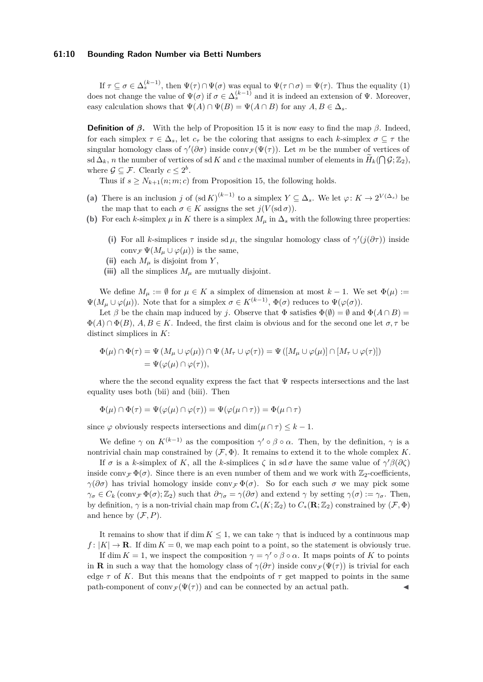### **61:10 Bounding Radon Number via Betti Numbers**

If  $\tau \subseteq \sigma \in \Delta_s^{(k-1)}$ , then  $\Psi(\tau) \cap \Psi(\sigma)$  was equal to  $\Psi(\tau \cap \sigma) = \Psi(\tau)$ . Thus the equality [\(1\)](#page-8-3) does not change the value of  $\Psi(\sigma)$  if  $\sigma \in \Delta_s^{(k-1)}$  and it is indeed an extension of  $\Psi$ . Moreover, easy calculation shows that  $\Psi(A) \cap \Psi(B) = \Psi(A \cap B)$  for any  $A, B \in \Delta_s$ .

**Definition of** *β***.** With the help of Proposition [15](#page-7-5) it is now easy to find the map  $β$ . Indeed, for each simplex  $\tau \in \Delta_s$ , let  $c_\tau$  be the coloring that assigns to each *k*-simplex  $\sigma \subseteq \tau$  the singular homology class of  $\gamma'(\partial \sigma)$  inside conv $\mathcal{F}(\Psi(\tau))$ . Let *m* be the number of vertices of  $\mathbf{S} \leq \Delta_k$ , *n* the number of vertices of sd *K* and *c* the maximal number of elements in  $\widetilde{H}_k(\bigcap \mathcal{G}; \mathbb{Z}_2)$ , where  $\mathcal{G} \subseteq \mathcal{F}$ . Clearly  $c \leq 2^b$ .

Thus if  $s \geq N_{k+1}(n; m; c)$  from Proposition [15,](#page-7-5) the following holds.

- (a) There is an inclusion *j* of  $(\text{sd } K)^{(k-1)}$  to a simplex  $Y \subseteq \Delta_s$ . We let  $\varphi: K \to 2^{V(\Delta_s)}$  be the map that to each  $\sigma \in K$  assigns the set  $j(V(\operatorname{sd}\sigma))$ .
- **(b)** For each *k*-simplex  $\mu$  in *K* there is a simplex  $M_{\mu}$  in  $\Delta_s$  with the following three properties:
	- (i) For all *k*-simplices  $\tau$  inside sd  $\mu$ , the singular homology class of  $\gamma'(j(\partial \tau))$  inside conv<sub>*F*</sub>  $\Psi(M_\mu \cup \varphi(\mu))$  is the same,
	- (ii) each  $M_\mu$  is disjoint from  $Y$ ,
	- (iii) all the simplices  $M_\mu$  are mutually disjoint.

<span id="page-9-1"></span><span id="page-9-0"></span>We define  $M_\mu := \emptyset$  for  $\mu \in K$  a simplex of dimension at most  $k-1$ . We set  $\Phi(\mu) :=$  $\Psi(M_\mu \cup \varphi(\mu))$ . Note that for a simplex  $\sigma \in K^{(k-1)}$ ,  $\Phi(\sigma)$  reduces to  $\Psi(\varphi(\sigma))$ .

Let  $\beta$  be the chain map induced by *j*. Observe that  $\Phi$  satisfies  $\Phi(\emptyset) = \emptyset$  and  $\Phi(A \cap B) =$  $\Phi(A) \cap \Phi(B)$ ,  $A, B \in K$ . Indeed, the first claim is obvious and for the second one let  $\sigma, \tau$  be distinct simplices in *K*:

$$
\Phi(\mu) \cap \Phi(\tau) = \Psi(M_{\mu} \cup \varphi(\mu)) \cap \Psi(M_{\tau} \cup \varphi(\tau)) = \Psi([M_{\mu} \cup \varphi(\mu)] \cap [M_{\tau} \cup \varphi(\tau)])
$$
  
= 
$$
\Psi(\varphi(\mu) \cap \varphi(\tau)),
$$

where the the second equality express the fact that  $\Psi$  respects intersections and the last equality uses both [\(bii\)](#page-9-0) and [\(biii\)](#page-9-1). Then

$$
\Phi(\mu) \cap \Phi(\tau) = \Psi(\varphi(\mu) \cap \varphi(\tau)) = \Psi(\varphi(\mu \cap \tau)) = \Phi(\mu \cap \tau)
$$

since  $\varphi$  obviously respects intersections and dim $(\mu \cap \tau) \leq k - 1$ .

We define  $\gamma$  on  $K^{(k-1)}$  as the composition  $\gamma' \circ \beta \circ \alpha$ . Then, by the definition,  $\gamma$  is a nontrivial chain map constrained by  $(\mathcal{F}, \Phi)$ . It remains to extend it to the whole complex *K*.

If *σ* is a *k*-simplex of *K*, all the *k*-simplices  $\zeta$  in sd *σ* have the same value of  $\gamma' \beta(\partial \zeta)$ inside conv<sub>F</sub>  $\Phi(\sigma)$ . Since there is an even number of them and we work with  $\mathbb{Z}_2$ -coefficients, *γ*( $\partial \sigma$ ) has trivial homology inside conv<sub>F</sub>  $\Phi(\sigma)$ . So for each such  $\sigma$  we may pick some  $\gamma_{\sigma} \in C_k$  (conv $\gamma \Phi(\sigma)$ ; Z<sub>2</sub>) such that  $\partial \gamma_{\sigma} = \gamma(\partial \sigma)$  and extend  $\gamma$  by setting  $\gamma(\sigma) := \gamma_{\sigma}$ . Then, by definition,  $\gamma$  is a non-trivial chain map from  $C_*(K;\mathbb{Z}_2)$  to  $C_*(\mathbf{R};\mathbb{Z}_2)$  constrained by  $(\mathcal{F},\Phi)$ and hence by  $(\mathcal{F}, P)$ .

It remains to show that if dim  $K \leq 1$ , we can take  $\gamma$  that is induced by a continuous map  $f: |K| \to \mathbf{R}$ . If dim  $K = 0$ , we map each point to a point, so the statement is obviously true.

If dim  $K = 1$ , we inspect the composition  $\gamma = \gamma' \circ \beta \circ \alpha$ . It maps points of K to points in **R** in such a way that the homology class of  $\gamma(\partial \tau)$  inside conv $\tau(\Psi(\tau))$  is trivial for each edge  $\tau$  of K. But this means that the endpoints of  $\tau$  get mapped to points in the same path-component of conv $\mathcal{F}(\Psi(\tau))$  and can be connected by an actual path.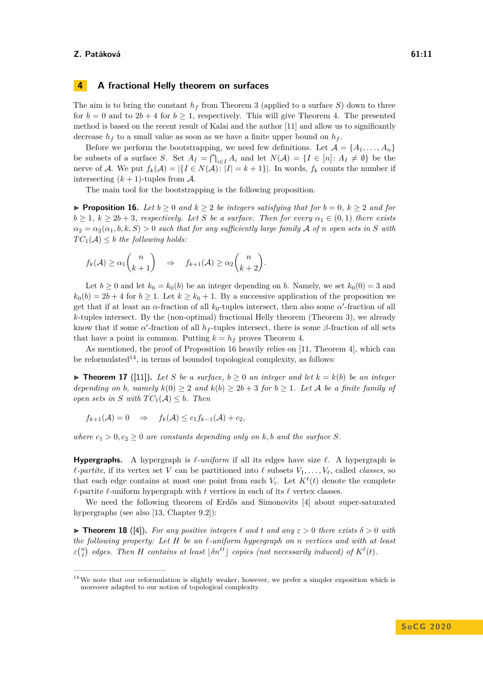# <span id="page-10-0"></span>**4 A fractional Helly theorem on surfaces**

The aim is to bring the constant  $h_f$  from Theorem [3](#page-2-3) (applied to a surface  $S$ ) down to three for  $b = 0$  and to  $2b + 4$  for  $b \ge 1$ , respectively. This will give Theorem [4.](#page-3-1) The presented method is based on the recent result of Kalai and the author [\[11\]](#page-12-6) and allow us to significantly decrease  $h_f$  to a small value as soon as we have a finite upper bound on  $h_f$ .

Before we perform the bootstrapping, we need few definitions. Let  $\mathcal{A} = \{A_1, \ldots, A_n\}$ be subsets of a surface *S*. Set  $A_I = \bigcap_{i \in I} A_i$  and let  $N(A) = \{I \in [n]: A_I \neq \emptyset\}$  be the nerve of A. We put  $f_k(\mathcal{A}) = |\{I \in N(\mathcal{A}): |I| = k + 1\}|$ . In words,  $f_k$  counts the number if intersecting  $(k+1)$ -tuples from A.

The main tool for the bootstrapping is the following proposition.

<span id="page-10-1"></span>▶ **Proposition 16.** *Let*  $b \ge 0$  *and*  $k \ge 2$  *be integers satisfying that for*  $b = 0$ *,*  $k \ge 2$  *and for*  $b \geq 1$ ,  $k \geq 2b + 3$ , respectively. Let *S* be a surface. Then for every  $\alpha_1 \in (0,1)$  there exists  $\alpha_2 = \alpha_2(\alpha_1, b, k, S) > 0$  *such that for any sufficiently large family* A *of n open sets in S with*  $TC_1(\mathcal{A}) \leq b$  *the following holds:* 

$$
f_k(\mathcal{A}) \ge \alpha_1 \binom{n}{k+1} \quad \Rightarrow \quad f_{k+1}(\mathcal{A}) \ge \alpha_2 \binom{n}{k+2}.
$$

Let  $b \geq 0$  and let  $k_0 = k_0(b)$  be an integer depending on b. Namely, we set  $k_0(0) = 3$  and  $k_0(b) = 2b + 4$  for  $b \ge 1$ . Let  $k \ge k_0 + 1$ . By a successive application of the proposition we get that if at least an  $\alpha$ -fraction of all  $k_0$ -tuples intersect, then also some  $\alpha'$ -fraction of all *k*-tuples intersect. By the (non-optimal) fractional Helly theorem (Theorem [3\)](#page-2-3), we already know that if some  $\alpha'$ -fraction of all  $h_f$ -tuples intersect, there is some  $\beta$ -fraction of all sets that have a point in common. Putting  $k = h_f$  proves Theorem [4.](#page-3-1)

As mentioned, the proof of Proposition [16](#page-10-1) heavily relies on [\[11,](#page-12-6) Theorem 4], which can be reformulated<sup>[14](#page-10-2)</sup>, in terms of bounded topological complexity, as follows:

<span id="page-10-3"></span>▶ **Theorem 17** ([\[11\]](#page-12-6)). Let S be a surface,  $b \ge 0$  an integer and let  $k = k(b)$  be an integer *depending on b*, *namely*  $k(0) \geq 2$  *and*  $k(b) \geq 2b + 3$  *for*  $b \geq 1$ *. Let A be a finite family of open sets in S with*  $TC_1(A) \leq b$ *. Then* 

$$
f_{k+1}(\mathcal{A})=0 \quad \Rightarrow \quad f_k(\mathcal{A}) \leq c_1 f_{k-1}(\mathcal{A}) + c_2,
$$

*where*  $c_1 > 0, c_2 \geq 0$  *are constants depending only on k, b and the surface S.* 

**Hypergraphs.** A hypergraph is  $\ell$ -uniform if all its edges have size  $\ell$ . A hypergraph is  $\ell$ -partite, if its vertex set *V* can be partitioned into  $\ell$  subsets  $V_1, \ldots, V_\ell$ , called *classes*, so that each edge contains at most one point from each  $V_i$ . Let  $K^{\ell}(t)$  denote the complete  $\ell$ -partite  $\ell$ -uniform hypergraph with *t* vertices in each of its  $\ell$  vertex classes.

We need the following theorem of Erdős and Simonovits [\[4\]](#page-11-9) about super-saturated hypergraphs (see also [\[13,](#page-12-9) Chapter 9.2]):

**Find 18** ([\[4\]](#page-11-9)). For any positive integers  $\ell$  and  $t$  and  $any \in \ell$  of there exists  $\delta > 0$  with *the following property: Let H be an `-uniform hypergraph on n vertices and with at least*  $\epsilon$ <sup>(n</sup><sub>c</sub>) edges. Then *H* contains at least  $\lfloor \delta n^{lt} \rfloor$  copies (not necessarily induced) of  $K^{\ell}(t)$ .

<span id="page-10-2"></span> $14$  We note that our reformulation is slightly weaker, however, we prefer a simpler exposition which is moreover adapted to our notion of topological complexity.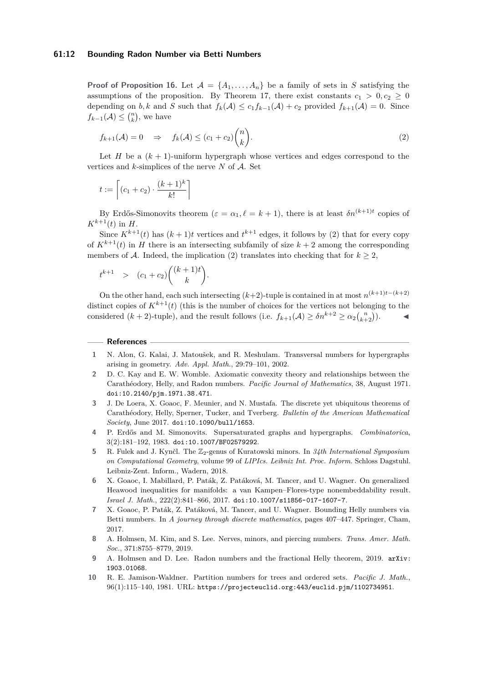### **61:12 Bounding Radon Number via Betti Numbers**

**Proof of Proposition [16.](#page-10-1)** Let  $\mathcal{A} = \{A_1, \ldots, A_n\}$  be a family of sets in *S* satisfying the assumptions of the proposition. By Theorem [17,](#page-10-3) there exist constants  $c_1 > 0, c_2 \ge 0$ depending on *b, k* and *S* such that  $f_k(\mathcal{A}) \leq c_1 f_{k-1}(\mathcal{A}) + c_2$  provided  $f_{k+1}(\mathcal{A}) = 0$ . Since  $f_{k-1}(\mathcal{A}) \leq {n \choose k}$ , we have

<span id="page-11-10"></span>
$$
f_{k+1}(\mathcal{A}) = 0 \quad \Rightarrow \quad f_k(\mathcal{A}) \le (c_1 + c_2) \binom{n}{k}.
$$

Let *H* be a  $(k + 1)$ -uniform hypergraph whose vertices and edges correspond to the vertices and  $k$ -simplices of the nerve  $N$  of  $A$ . Set

$$
t := \left\lceil (c_1 + c_2) \cdot \frac{(k+1)^k}{k!} \right\rceil
$$

By Erdős-Simonovits theorem  $(\varepsilon = \alpha_1, \ell = k + 1)$ , there is at least  $\delta n^{(k+1)t}$  copies of  $K^{k+1}(t)$  in  $H$ .

Since  $K^{k+1}(t)$  has  $(k+1)t$  vertices and  $t^{k+1}$  edges, it follows by [\(2\)](#page-11-10) that for every copy of  $K^{k+1}(t)$  in *H* there is an intersecting subfamily of size  $k+2$  among the corresponding members of A. Indeed, the implication [\(2\)](#page-11-10) translates into checking that for  $k \geq 2$ ,

$$
t^{k+1} > (c_1 + c_2) \binom{(k+1)t}{k}.
$$

On the other hand, each such intersecting  $(k+2)$ -tuple is contained in at most  $n^{(k+1)t-(k+2)}$ distinct copies of  $K^{k+1}(t)$  (this is the number of choices for the vertices not belonging to the considered  $(k+2)$ -tuple), and the result follows (i.e.  $f_{k+1}(\mathcal{A}) \geq \delta n^{k+2} \geq \alpha_2 {n \choose k+2}$ .

#### **References**

- <span id="page-11-4"></span>**1** N. Alon, G. Kalai, J. Matoušek, and R. Meshulam. Transversal numbers for hypergraphs arising in geometry. *Adv. Appl. Math.*, 29:79–101, 2002.
- <span id="page-11-0"></span>**2** D. C. Kay and E. W. Womble. Axiomatic convexity theory and relationships between the Carathéodory, Helly, and Radon numbers. *Pacific Journal of Mathematics*, 38, August 1971. [doi:10.2140/pjm.1971.38.471](https://doi.org/10.2140/pjm.1971.38.471).
- <span id="page-11-5"></span>**3** J. De Loera, X. Goaoc, F. Meunier, and N. Mustafa. The discrete yet ubiquitous theorems of Carathéodory, Helly, Sperner, Tucker, and Tverberg. *Bulletin of the American Mathematical Society*, June 2017. [doi:10.1090/bull/1653](https://doi.org/10.1090/bull/1653).
- <span id="page-11-9"></span>**4** P. Erdős and M. Simonovits. Supersaturated graphs and hypergraphs. *Combinatorica*, 3(2):181–192, 1983. [doi:10.1007/BF02579292](https://doi.org/10.1007/BF02579292).
- <span id="page-11-8"></span>**5** R. Fulek and J. Kynčl. The  $\mathbb{Z}_2$ -genus of Kuratowski minors. In 34th International Symposium *on Computational Geometry*, volume 99 of *LIPIcs. Leibniz Int. Proc. Inform.* Schloss Dagstuhl. Leibniz-Zent. Inform., Wadern, 2018.
- <span id="page-11-7"></span>**6** X. Goaoc, I. Mabillard, P. Paták, Z. Patáková, M. Tancer, and U. Wagner. On generalized Heawood inequalities for manifolds: a van Kampen–Flores-type nonembeddability result. *Israel J. Math.*, 222(2):841–866, 2017. [doi:10.1007/s11856-017-1607-7](https://doi.org/10.1007/s11856-017-1607-7).
- <span id="page-11-1"></span>**7** X. Goaoc, P. Paták, Z. Patáková, M. Tancer, and U. Wagner. Bounding Helly numbers via Betti numbers. In *A journey through discrete mathematics*, pages 407–447. Springer, Cham, 2017.
- <span id="page-11-6"></span>**8** A. Holmsen, M. Kim, and S. Lee. Nerves, minors, and piercing numbers. *Trans. Amer. Math. Soc.*, 371:8755–8779, 2019.
- <span id="page-11-3"></span>**9** A. Holmsen and D. Lee. Radon numbers and the fractional Helly theorem, 2019. [arXiv:](http://arxiv.org/abs/1903.01068) [1903.01068](http://arxiv.org/abs/1903.01068).
- <span id="page-11-2"></span>**10** R. E. Jamison-Waldner. Partition numbers for trees and ordered sets. *Pacific J. Math.*, 96(1):115–140, 1981. URL: <https://projecteuclid.org:443/euclid.pjm/1102734951>.